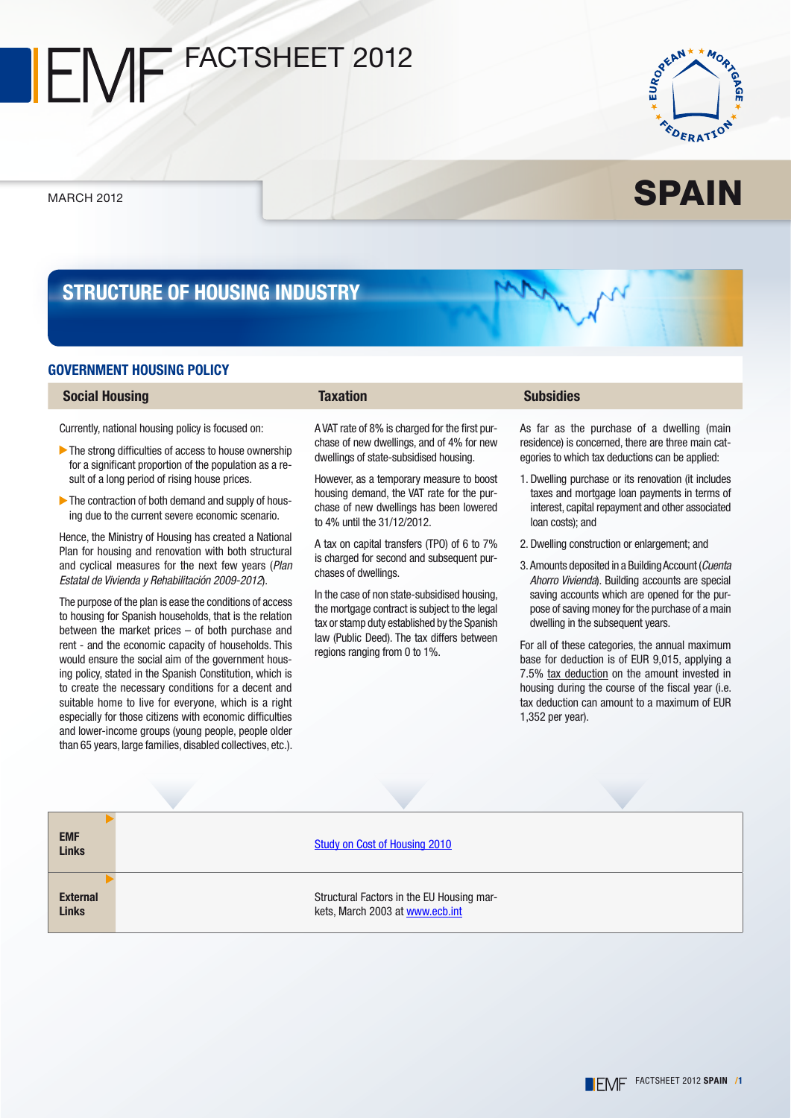# **ME** FACTSHEET 2012

MARCH 2012

SPAIN

**REDERAT** 

**AGAGE** 

**WARDWAY** 

# STRUCTURE OF HOUSING INDUSTRY

### GOVERNMENT HOUSING POLICY

### **Social Housing Taxation Subsidies** Taxation Subsidies Subsidies

Currently, national housing policy is focused on:

- $\triangleright$  The strong difficulties of access to house ownership for a significant proportion of the population as a result of a long period of rising house prices.
- The contraction of both demand and supply of housing due to the current severe economic scenario.

Hence, the Ministry of Housing has created a National Plan for housing and renovation with both structural and cyclical measures for the next few years (*Plan Estatal de Vivienda y Rehabilitación 2009-2012*).

The purpose of the plan is ease the conditions of access to housing for Spanish households, that is the relation between the market prices – of both purchase and rent - and the economic capacity of households. This would ensure the social aim of the government housing policy, stated in the Spanish Constitution, which is to create the necessary conditions for a decent and suitable home to live for everyone, which is a right especially for those citizens with economic difficulties and lower-income groups (young people, people older than 65 years, large families, disabled collectives, etc.).

A VAT rate of 8% is charged for the first purchase of new dwellings, and of 4% for new dwellings of state-subsidised housing.

However, as a temporary measure to boost housing demand, the VAT rate for the purchase of new dwellings has been lowered to 4% until the 31/12/2012.

A tax on capital transfers (TPO) of 6 to 7% is charged for second and subsequent purchases of dwellings.

In the case of non state-subsidised housing, the mortgage contract is subject to the legal tax or stamp duty established by the Spanish law (Public Deed). The tax differs between regions ranging from 0 to 1%.

As far as the purchase of a dwelling (main residence) is concerned, there are three main categories to which tax deductions can be applied:

- 1. Dwelling purchase or its renovation (it includes taxes and mortgage loan payments in terms of interest, capital repayment and other associated loan costs); and
- 2. Dwelling construction or enlargement; and
- 3. Amounts deposited in a Building Account (*Cuenta Ahorro Vivienda*). Building accounts are special saving accounts which are opened for the purpose of saving money for the purchase of a main dwelling in the subsequent vears.

For all of these categories, the annual maximum base for deduction is of EUR 9,015, applying a 7.5% tax deduction on the amount invested in housing during the course of the fiscal year (i.e. tax deduction can amount to a maximum of EUR 1,352 per year).

| <b>EMF</b><br><b>Links</b>      | <b>Study on Cost of Housing 2010</b>                                         |
|---------------------------------|------------------------------------------------------------------------------|
| <b>External</b><br><b>Links</b> | Structural Factors in the EU Housing mar-<br>kets, March 2003 at www.ecb.int |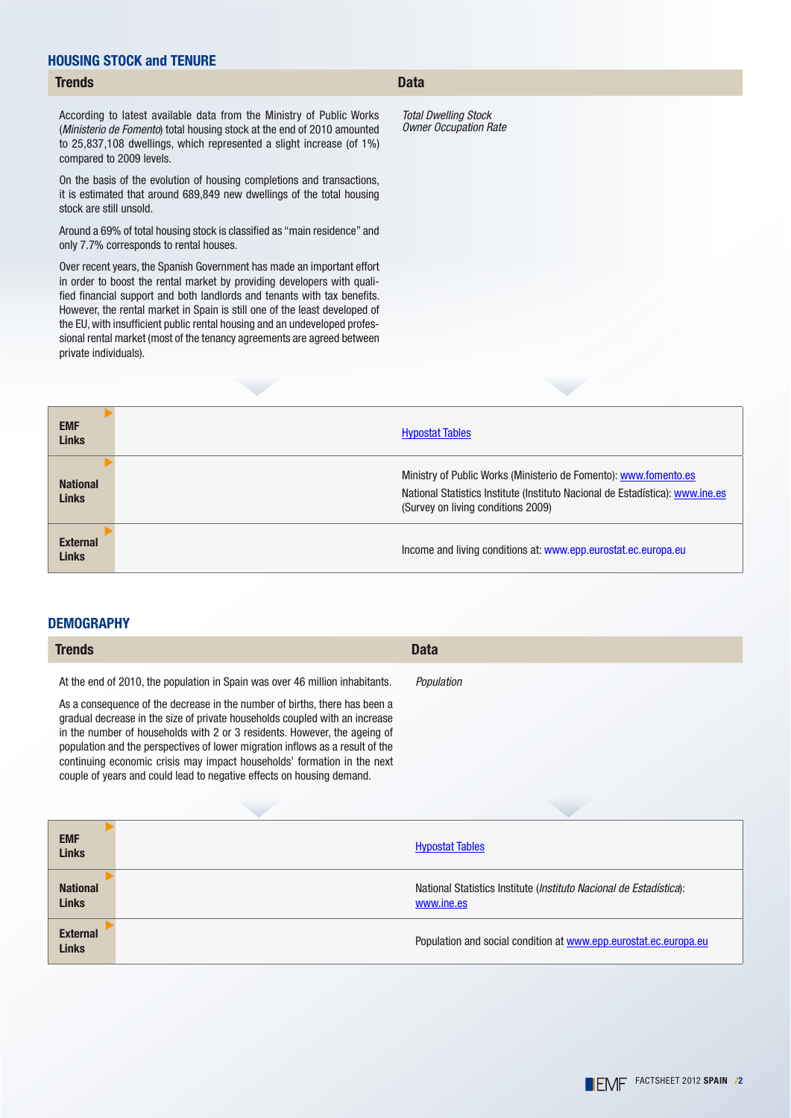### HOUSING STOCK and TENURE

the EU, with insufficient public rental housing and an undeveloped professional rental market (most of the tenancy agreements are agreed between

### Trends **Data** According to latest available data from the Ministry of Public Works (*Ministerio de Fomento*) total housing stock at the end of 2010 amounted to 25,837,108 dwellings, which represented a slight increase (of 1%) compared to 2009 levels. On the basis of the evolution of housing completions and transactions, it is estimated that around 689,849 new dwellings of the total housing stock are still unsold. Around a 69% of total housing stock is classified as "main residence" and only 7.7% corresponds to rental houses. Over recent years, the Spanish Government has made an important effort in order to boost the rental market by providing developers with qualified financial support and both landlords and tenants with tax benefits. However, the rental market in Spain is still one of the least developed of *Total Dwelling Stock Owner Occupation Rate*

| <b>EMF</b><br><b>Links</b>      | <b>Hypostat Tables</b>                                                                                                                                                                  |
|---------------------------------|-----------------------------------------------------------------------------------------------------------------------------------------------------------------------------------------|
| <b>National</b><br><b>Links</b> | Ministry of Public Works (Ministerio de Fomento): www.fomento.es<br>National Statistics Institute (Instituto Nacional de Estadística): www.ine.es<br>(Survey on living conditions 2009) |
| <b>External</b><br><b>Links</b> | Income and living conditions at: www.epp.eurostat.ec.europa.eu                                                                                                                          |

### **DEMOGRAPHY**

private individuals).

| <b>Trends</b>                   |                                                                                                                                                                                                                                                                                                                                                                                                                                                                                                                                                             | Data                                                                                      |
|---------------------------------|-------------------------------------------------------------------------------------------------------------------------------------------------------------------------------------------------------------------------------------------------------------------------------------------------------------------------------------------------------------------------------------------------------------------------------------------------------------------------------------------------------------------------------------------------------------|-------------------------------------------------------------------------------------------|
|                                 | At the end of 2010, the population in Spain was over 46 million inhabitants.<br>As a consequence of the decrease in the number of births, there has been a<br>gradual decrease in the size of private households coupled with an increase<br>in the number of households with 2 or 3 residents. However, the ageing of<br>population and the perspectives of lower migration inflows as a result of the<br>continuing economic crisis may impact households' formation in the next<br>couple of years and could lead to negative effects on housing demand. | Population                                                                                |
|                                 |                                                                                                                                                                                                                                                                                                                                                                                                                                                                                                                                                             |                                                                                           |
| <b>EMF</b><br><b>Links</b>      |                                                                                                                                                                                                                                                                                                                                                                                                                                                                                                                                                             | <b>Hypostat Tables</b>                                                                    |
| <b>National</b><br><b>Links</b> |                                                                                                                                                                                                                                                                                                                                                                                                                                                                                                                                                             | National Statistics Institute ( <i>Instituto Nacional de Estadística</i> ):<br>www.ine.es |
| <b>External</b><br><b>Links</b> |                                                                                                                                                                                                                                                                                                                                                                                                                                                                                                                                                             | Population and social condition at www.epp.eurostat.ec.europa.eu                          |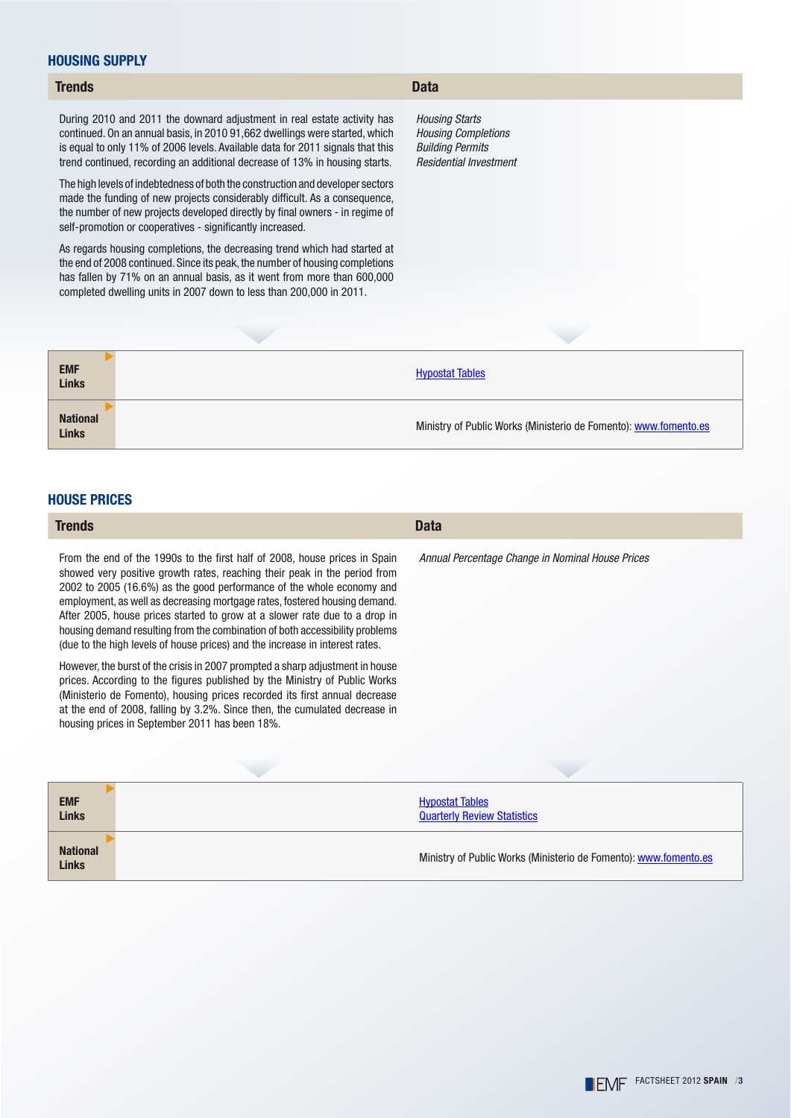### HOUSING SUPPLY

### Trends **Data**

During 2010 and 2011 the downard adjustment in real estate activity has continued. On an annual basis, in 2010 91,662 dwellings were started, which is equal to only 11% of 2006 levels. Available data for 2011 signals that this trend continued, recording an additional decrease of 13% in housing starts.

The high levels of indebtedness of both the construction and developer sectors made the funding of new projects considerably difficult. As a consequence, the number of new projects developed directly by final owners - in regime of self-promotion or cooperatives - significantly increased.

As regards housing completions, the decreasing trend which had started at the end of 2008 continued. Since its peak, the number of housing completions has fallen by 71% on an annual basis, as it went from more than 600,000 completed dwelling units in 2007 down to less than 200,000 in 2011.

*Housing Starts Housing Completions Building Permits Residential Investment*

| <b>EMF</b><br>Links      | <b>Hypostat Tables</b>                                           |  |
|--------------------------|------------------------------------------------------------------|--|
| <b>National</b><br>Links | Ministry of Public Works (Ministerio de Fomento): www.fomento.es |  |

### HOUSE PRICES

| <b>Trends</b>                                                                                                                                                                                                                                                                                                                                                                                                                                                                                                                                                |                                                                                                                                                                                                                                                                                                                                                                           | <b>Data</b>                                                      |
|--------------------------------------------------------------------------------------------------------------------------------------------------------------------------------------------------------------------------------------------------------------------------------------------------------------------------------------------------------------------------------------------------------------------------------------------------------------------------------------------------------------------------------------------------------------|---------------------------------------------------------------------------------------------------------------------------------------------------------------------------------------------------------------------------------------------------------------------------------------------------------------------------------------------------------------------------|------------------------------------------------------------------|
| From the end of the 1990s to the first half of 2008, house prices in Spain<br>showed very positive growth rates, reaching their peak in the period from<br>2002 to 2005 (16.6%) as the good performance of the whole economy and<br>employment, as well as decreasing mortgage rates, fostered housing demand.<br>After 2005, house prices started to grow at a slower rate due to a drop in<br>housing demand resulting from the combination of both accessibility problems<br>(due to the high levels of house prices) and the increase in interest rates. |                                                                                                                                                                                                                                                                                                                                                                           | Annual Percentage Change in Nominal House Prices                 |
|                                                                                                                                                                                                                                                                                                                                                                                                                                                                                                                                                              | However, the burst of the crisis in 2007 prompted a sharp adjustment in house<br>prices. According to the figures published by the Ministry of Public Works<br>(Ministerio de Fomento), housing prices recorded its first annual decrease<br>at the end of 2008, falling by 3.2%. Since then, the cumulated decrease in<br>housing prices in September 2011 has been 18%. |                                                                  |
|                                                                                                                                                                                                                                                                                                                                                                                                                                                                                                                                                              |                                                                                                                                                                                                                                                                                                                                                                           |                                                                  |
| <b>EMF</b><br><b>Links</b>                                                                                                                                                                                                                                                                                                                                                                                                                                                                                                                                   |                                                                                                                                                                                                                                                                                                                                                                           | <b>Hypostat Tables</b><br><b>Quarterly Review Statistics</b>     |
| <b>National</b><br>Links                                                                                                                                                                                                                                                                                                                                                                                                                                                                                                                                     |                                                                                                                                                                                                                                                                                                                                                                           | Ministry of Public Works (Ministerio de Fomento): www.fomento.es |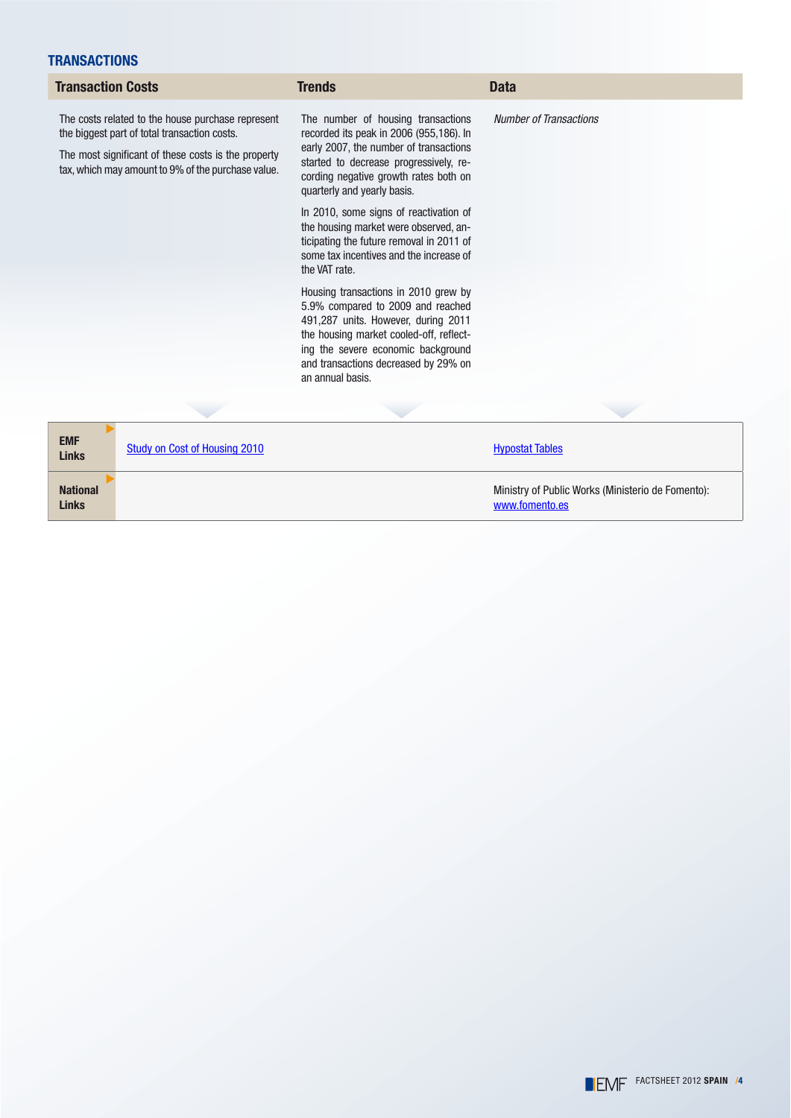### **TRANSACTIONS**

| <b>Transaction Costs</b>                                                                                                                                                                                       |                                      | <b>Trends</b>                                                                                                                                                                                                                                                 | <b>Data</b>                                                         |
|----------------------------------------------------------------------------------------------------------------------------------------------------------------------------------------------------------------|--------------------------------------|---------------------------------------------------------------------------------------------------------------------------------------------------------------------------------------------------------------------------------------------------------------|---------------------------------------------------------------------|
| The costs related to the house purchase represent<br>the biggest part of total transaction costs.<br>The most significant of these costs is the property<br>tax, which may amount to 9% of the purchase value. |                                      | The number of housing transactions<br>recorded its peak in 2006 (955,186). In<br>early 2007, the number of transactions<br>started to decrease progressively, re-<br>cording negative growth rates both on<br>quarterly and yearly basis.                     | <b>Number of Transactions</b>                                       |
|                                                                                                                                                                                                                |                                      | In 2010, some signs of reactivation of<br>the housing market were observed, an-<br>ticipating the future removal in 2011 of<br>some tax incentives and the increase of<br>the VAT rate.                                                                       |                                                                     |
|                                                                                                                                                                                                                |                                      | Housing transactions in 2010 grew by<br>5.9% compared to 2009 and reached<br>491,287 units. However, during 2011<br>the housing market cooled-off, reflect-<br>ing the severe economic background<br>and transactions decreased by 29% on<br>an annual basis. |                                                                     |
|                                                                                                                                                                                                                |                                      |                                                                                                                                                                                                                                                               |                                                                     |
| <b>EMF</b><br><b>Links</b>                                                                                                                                                                                     | <b>Study on Cost of Housing 2010</b> |                                                                                                                                                                                                                                                               | <b>Hypostat Tables</b>                                              |
| <b>National</b><br><b>Links</b>                                                                                                                                                                                |                                      |                                                                                                                                                                                                                                                               | Ministry of Public Works (Ministerio de Fomento):<br>www.fomento.es |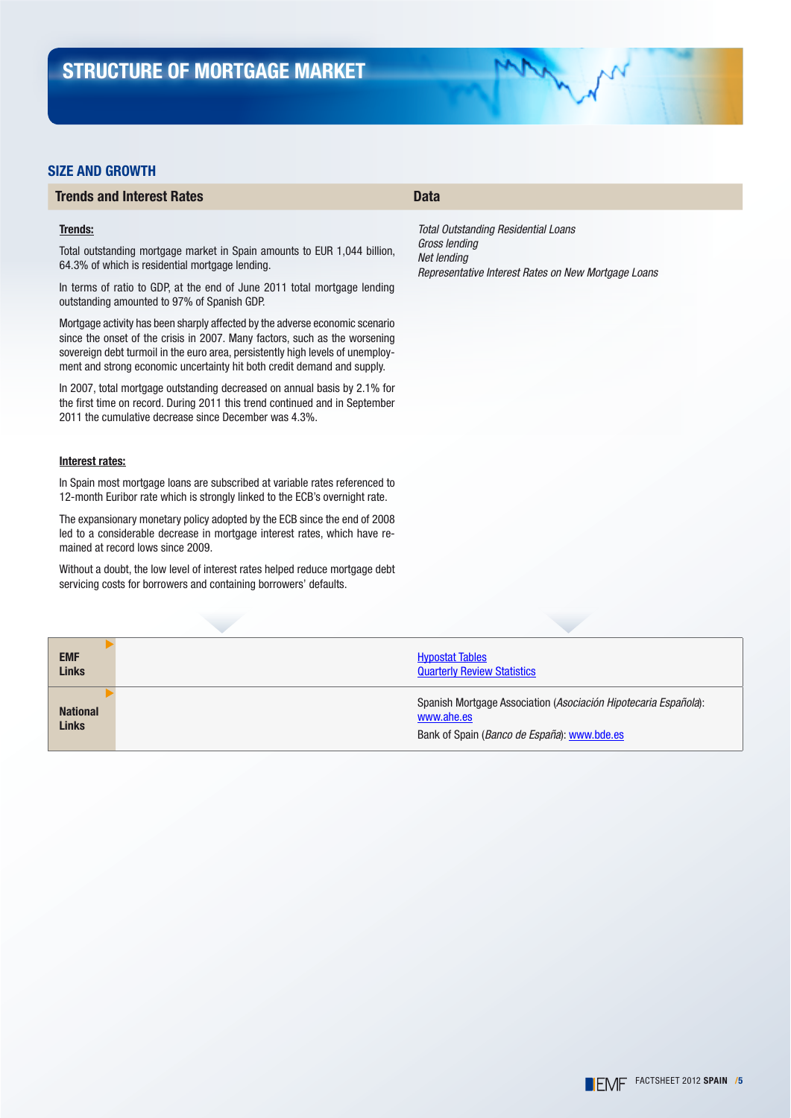# STRUCTURE OF MORTGAGE MARKET

### SIZE AND GROWTH

### **Trends and Interest Rates Data Accord Participate Control Control Control Control Control Control Control Control Control Control Control Control Control Control Control Control Control Control Control Control Control Con**

### Trends:

Total outstanding mortgage market in Spain amounts to EUR 1,044 billion, 64.3% of which is residential mortgage lending.

In terms of ratio to GDP, at the end of June 2011 total mortgage lending outstanding amounted to 97% of Spanish GDP.

Mortgage activity has been sharply affected by the adverse economic scenario since the onset of the crisis in 2007. Many factors, such as the worsening sovereign debt turmoil in the euro area, persistently high levels of unemployment and strong economic uncertainty hit both credit demand and supply.

In 2007, total mortgage outstanding decreased on annual basis by 2.1% for the first time on record. During 2011 this trend continued and in September 2011 the cumulative decrease since December was 4.3%.

### Interest rates:

In Spain most mortgage loans are subscribed at variable rates referenced to 12-month Euribor rate which is strongly linked to the ECB's overnight rate.

The expansionary monetary policy adopted by the ECB since the end of 2008 led to a considerable decrease in mortgage interest rates, which have remained at record lows since 2009.

Without a doubt, the low level of interest rates helped reduce mortgage debt servicing costs for borrowers and containing borrowers' defaults.

*Total Outstanding Residential Loans Gross lending Net lending Representative Interest Rates on New Mortgage Loans*

| <b>EMF</b><br><b>Links</b>      | <b>Hypostat Tables</b><br><b>Quarterly Review Statistics</b>                                                                 |
|---------------------------------|------------------------------------------------------------------------------------------------------------------------------|
| <b>National</b><br><b>Links</b> | Spanish Mortgage Association (Asociación Hipotecaria Española):<br>www.ahe.es<br>Bank of Spain (Banco de España): www.bde.es |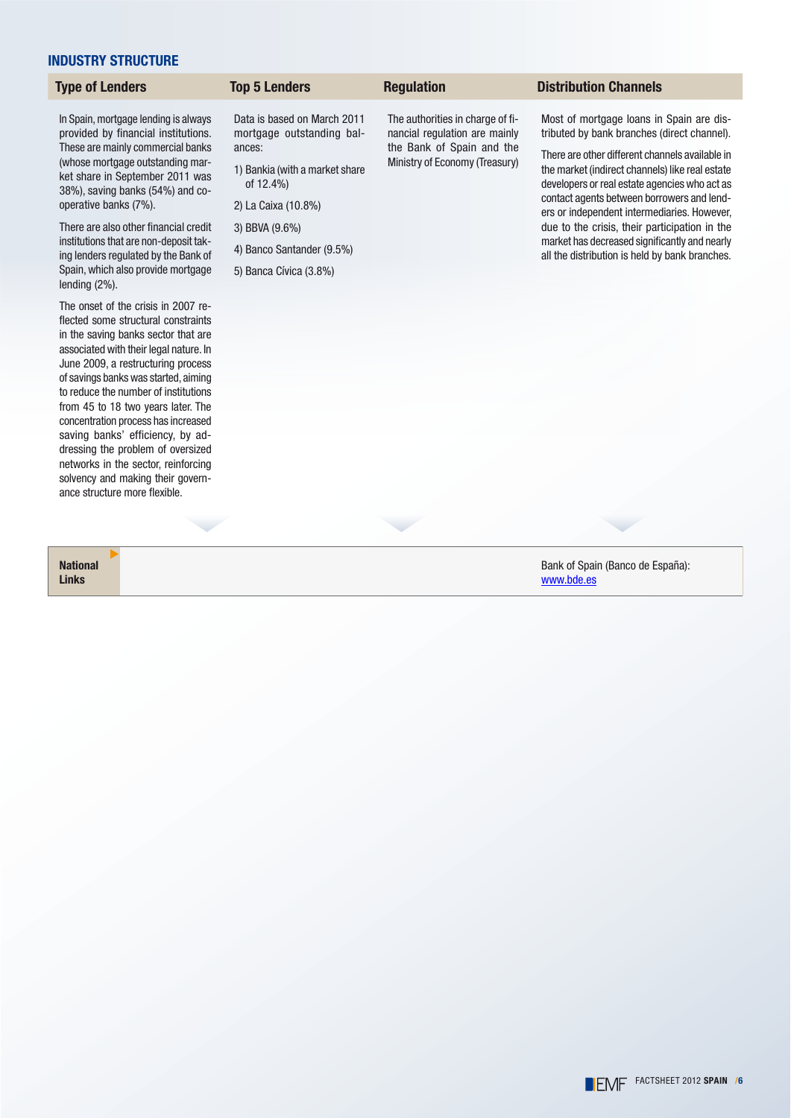### INDUSTRY STRUCTURE

| <b>Type of Lenders</b>                                                                                                                                                                                                                                                                                                                                                                                                                     | <b>Top 5 Lenders</b>                                                                                                                                                                                                  | <b>Regulation</b>                                                                                                                | <b>Distribution Channels</b>                                                                                                                                                                                                                                                                                                                                                                                                                                                                    |
|--------------------------------------------------------------------------------------------------------------------------------------------------------------------------------------------------------------------------------------------------------------------------------------------------------------------------------------------------------------------------------------------------------------------------------------------|-----------------------------------------------------------------------------------------------------------------------------------------------------------------------------------------------------------------------|----------------------------------------------------------------------------------------------------------------------------------|-------------------------------------------------------------------------------------------------------------------------------------------------------------------------------------------------------------------------------------------------------------------------------------------------------------------------------------------------------------------------------------------------------------------------------------------------------------------------------------------------|
| In Spain, mortgage lending is always<br>provided by financial institutions.<br>These are mainly commercial banks<br>(whose mortgage outstanding mar-<br>ket share in September 2011 was<br>38%), saving banks (54%) and co-<br>operative banks (7%).<br>There are also other financial credit<br>institutions that are non-deposit tak-<br>ing lenders regulated by the Bank of<br>Spain, which also provide mortgage<br>lending $(2\%)$ . | Data is based on March 2011<br>mortgage outstanding bal-<br>ances:<br>1) Bankia (with a market share<br>of $12.4\%$ )<br>2) La Caixa (10.8%)<br>3) BBVA (9.6%)<br>4) Banco Santander (9.5%)<br>5) Banca Cívica (3.8%) | The authorities in charge of fi-<br>nancial regulation are mainly<br>the Bank of Spain and the<br>Ministry of Economy (Treasury) | Most of mortgage loans in Spain are dis-<br>tributed by bank branches (direct channel).<br>There are other different channels available in<br>the market (indirect channels) like real estate<br>developers or real estate agencies who act as<br>contact agents between borrowers and lend-<br>ers or independent intermediaries. However,<br>due to the crisis, their participation in the<br>market has decreased significantly and nearly<br>all the distribution is held by bank branches. |
| The onset of the crisis in 2007 re-<br>flected some structural constraints<br>in the saving banks sector that are<br>associated with their legal nature. In<br>June 2009, a restructuring process<br>of savings banks was started, aiming<br>to reduce the number of institutions<br>from 45 to 18 two years later. The                                                                                                                    |                                                                                                                                                                                                                       |                                                                                                                                  |                                                                                                                                                                                                                                                                                                                                                                                                                                                                                                 |

National Links

concentration process has increased saving banks' efficiency, by addressing the problem of oversized networks in the sector, reinforcing solvency and making their governance structure more flexible.

> Bank of Spain (Banco de España): [www.bde.es](http://www.bde.es)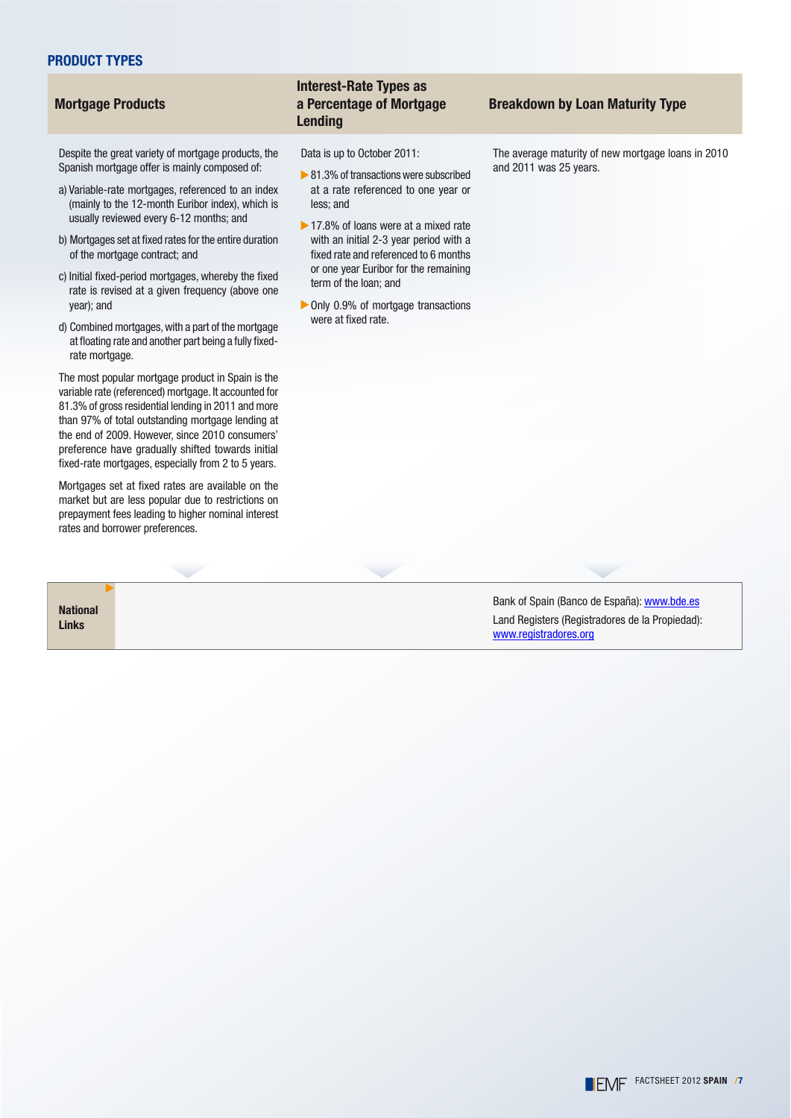### PRODUCT TYPES

### Mortgage Products

Despite the great variety of mortgage products, the Spanish mortgage offer is mainly composed of:

- a) Variable-rate mortgages, referenced to an index (mainly to the 12-month Euribor index), which is usually reviewed every 6-12 months; and
- b) Mortgages set at fixed rates for the entire duration of the mortgage contract; and
- c) Initial fixed-period mortgages, whereby the fixed rate is revised at a given frequency (above one year); and
- d) Combined mortgages, with a part of the mortgage at floating rate and another part being a fully fixedrate mortgage.

The most popular mortgage product in Spain is the variable rate (referenced) mortgage. It accounted for 81.3% of gross residential lending in 2011 and more than 97% of total outstanding mortgage lending at the end of 2009. However, since 2010 consumers' preference have gradually shifted towards initial fixed-rate mortgages, especially from 2 to 5 years.

Mortgages set at fixed rates are available on the market but are less popular due to restrictions on prepayment fees leading to higher nominal interest rates and borrower preferences.

**National** Links

### Interest-Rate Types as a Percentage of Mortgage Lending

Data is up to October 2011:

- ▶ 81.3% of transactions were subscribed at a rate referenced to one year or less; and
- ▶ 17.8% of loans were at a mixed rate with an initial 2-3 year period with a fixed rate and referenced to 6 months or one year Euribor for the remaining term of the loan; and
- ▶ Only 0.9% of mortgage transactions were at fixed rate.

### Breakdown by Loan Maturity Type

The average maturity of new mortgage loans in 2010 and 2011 was 25 years.

Bank of Spain (Banco de España): [www.bde.es](http://www.bde.es) Land Registers (Registradores de la Propiedad): [www.registradores.org](http://www.registradores.org)

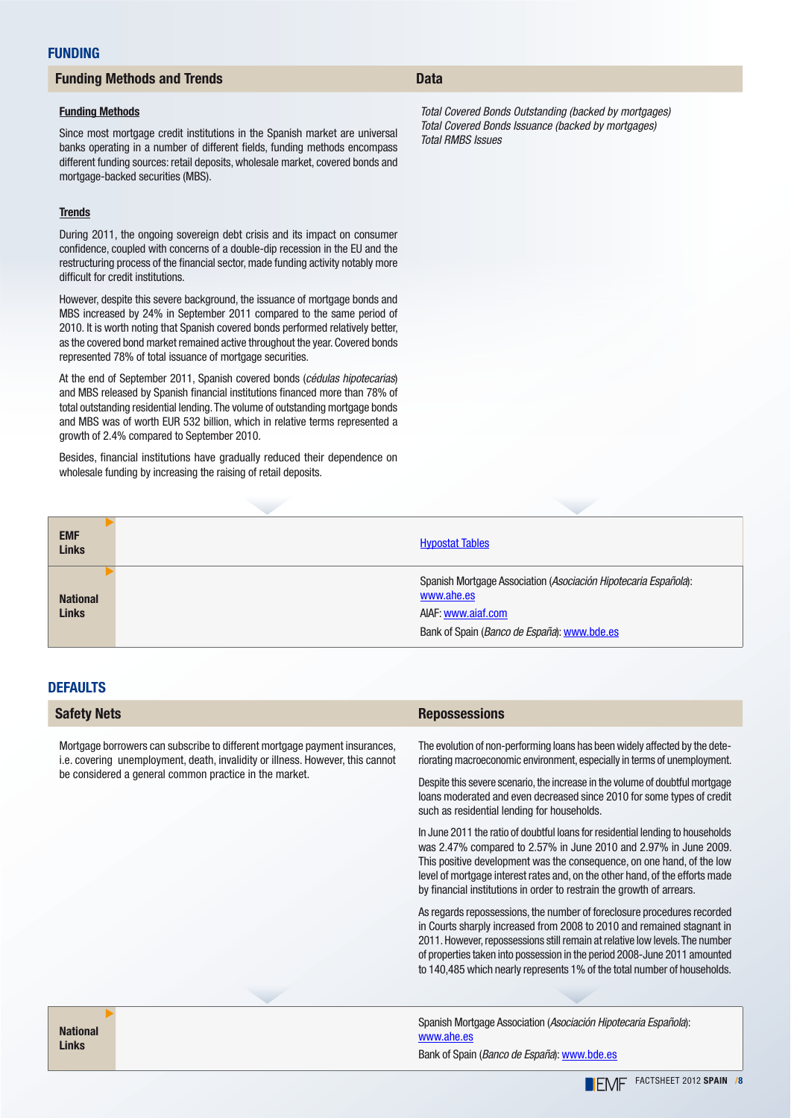### **Funding Methods and Trends** Data Data Data

### Funding Methods

Since most mortgage credit institutions in the Spanish market are universal banks operating in a number of different fields, funding methods encompass different funding sources: retail deposits, wholesale market, covered bonds and mortgage-backed securities (MBS).

### **Trends**

During 2011, the ongoing sovereign debt crisis and its impact on consumer confidence, coupled with concerns of a double-dip recession in the EU and the restructuring process of the financial sector, made funding activity notably more difficult for credit institutions.

However, despite this severe background, the issuance of mortgage bonds and MBS increased by 24% in September 2011 compared to the same period of 2010. It is worth noting that Spanish covered bonds performed relatively better, as the covered bond market remained active throughout the year. Covered bonds represented 78% of total issuance of mortgage securities.

At the end of September 2011, Spanish covered bonds (*cédulas hipotecarias*) and MBS released by Spanish financial institutions financed more than 78% of total outstanding residential lending. The volume of outstanding mortgage bonds and MBS was of worth EUR 532 billion, which in relative terms represented a growth of 2.4% compared to September 2010.

Besides, financial institutions have gradually reduced their dependence on wholesale funding by increasing the raising of retail deposits.

*Total Covered Bonds Outstanding (backed by mortgages) Total Covered Bonds Issuance (backed by mortgages) Total RMBS Issues*

# Links<br>Links [Hypostat Tables](http://www.hypo.org/content/default.asp?PageID=343)

Spanish Mortgage Association (*Asociación Hipotecaria Española*): [www.ahe.es](http://www.ahe.es) AIAF: [www.aiaf.com](http://www.aiaf.com) Bank of Spain (*Banco de España*): [www.bde.es](http://www.bde.es)

### DEFAULTS

National Links

EMF

Mortgage borrowers can subscribe to different mortgage payment insurances, i.e. covering unemployment, death, invalidity or illness. However, this cannot be considered a general common practice in the market.

### Safety Nets **Repossessions**

The evolution of non-performing loans has been widely affected by the deteriorating macroeconomic environment, especially in terms of unemployment.

Despite this severe scenario, the increase in the volume of doubtful mortgage loans moderated and even decreased since 2010 for some types of credit such as residential lending for households.

In June 2011 the ratio of doubtful loans for residential lending to households was 2.47% compared to 2.57% in June 2010 and 2.97% in June 2009. This positive development was the consequence, on one hand, of the low level of mortgage interest rates and, on the other hand, of the efforts made by financial institutions in order to restrain the growth of arrears.

As regards repossessions, the number of foreclosure procedures recorded in Courts sharply increased from 2008 to 2010 and remained stagnant in 2011. However, repossessions still remain at relative low levels. The number of properties taken into possession in the period 2008-June 2011 amounted to 140,485 which nearly represents 1% of the total number of households.

Spanish Mortgage Association (*Asociación Hipotecaria Española*): [www.ahe.es](http://www.ahe.es)

Bank of Spain (*Banco de España*): [www.bde.es](http://www.bde.es)



National Links